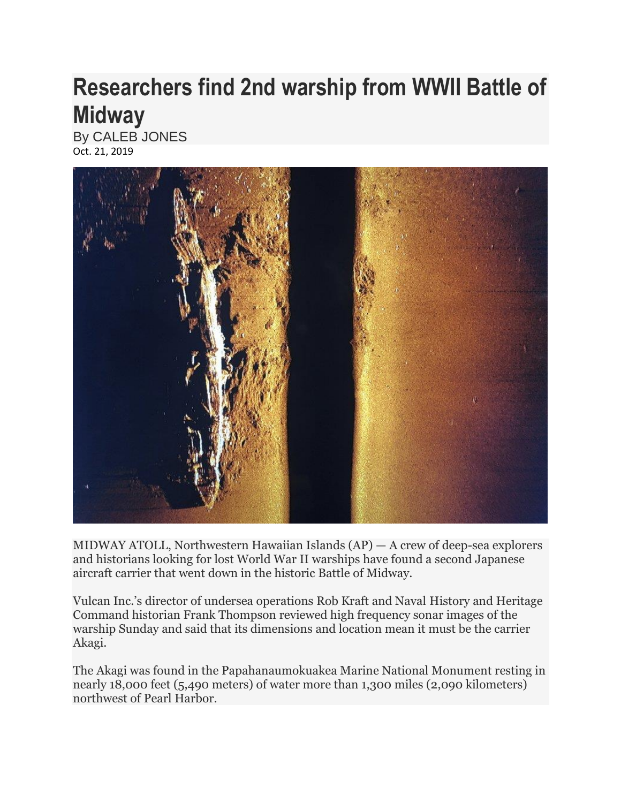## **Researchers find 2nd warship from WWII Battle of Midway**

By CALEB JONES Oct. 21, 2019



MIDWAY ATOLL, Northwestern Hawaiian Islands  $AP) - A$  crew of deep-sea explorers and historians looking for lost World War II warships have found a second Japanese aircraft carrier that went down in the historic Battle of Midway.

Vulcan Inc.'s director of undersea operations Rob Kraft and Naval History and Heritage Command historian Frank Thompson reviewed high frequency sonar images of the warship Sunday and said that its dimensions and location mean it must be the carrier Akagi.

The Akagi was found in the Papahanaumokuakea Marine National Monument resting in nearly 18,000 feet (5,490 meters) of water more than 1,300 miles (2,090 kilometers) northwest of Pearl Harbor.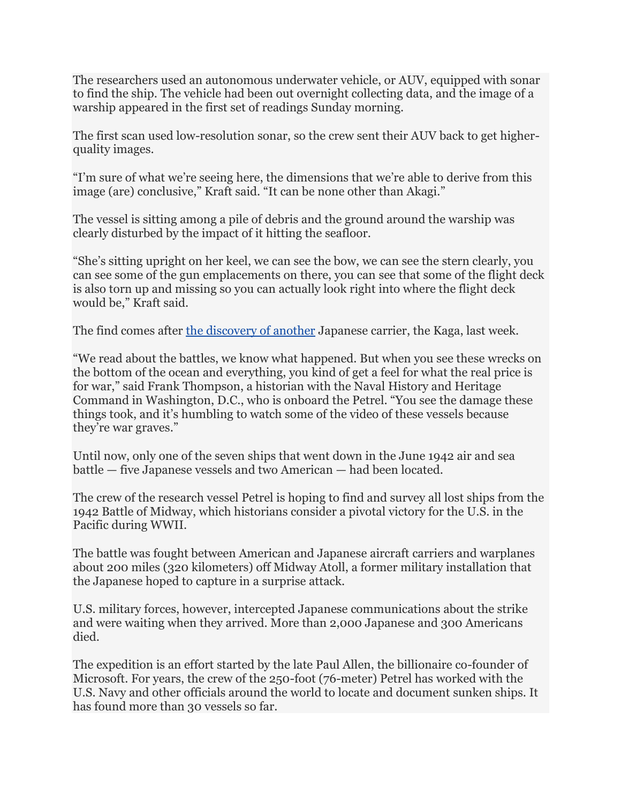The researchers used an autonomous underwater vehicle, or AUV, equipped with sonar to find the ship. The vehicle had been out overnight collecting data, and the image of a warship appeared in the first set of readings Sunday morning.

The first scan used low-resolution sonar, so the crew sent their AUV back to get higherquality images.

"I'm sure of what we're seeing here, the dimensions that we're able to derive from this image (are) conclusive," Kraft said. "It can be none other than Akagi."

The vessel is sitting among a pile of debris and the ground around the warship was clearly disturbed by the impact of it hitting the seafloor.

"She's sitting upright on her keel, we can see the bow, we can see the stern clearly, you can see some of the gun emplacements on there, you can see that some of the flight deck is also torn up and missing so you can actually look right into where the flight deck would be," Kraft said.

The find comes after [the discovery of another](https://apnews.com/95f892b78ec44fbd8b4de02c4ad71792) Japanese carrier, the Kaga, last week.

"We read about the battles, we know what happened. But when you see these wrecks on the bottom of the ocean and everything, you kind of get a feel for what the real price is for war," said Frank Thompson, a historian with the Naval History and Heritage Command in Washington, D.C., who is onboard the Petrel. "You see the damage these things took, and it's humbling to watch some of the video of these vessels because they're war graves."

Until now, only one of the seven ships that went down in the June 1942 air and sea battle — five Japanese vessels and two American — had been located.

The crew of the research vessel Petrel is hoping to find and survey all lost ships from the 1942 Battle of Midway, which historians consider a pivotal victory for the U.S. in the Pacific during WWII.

The battle was fought between American and Japanese aircraft carriers and warplanes about 200 miles (320 kilometers) off Midway Atoll, a former military installation that the Japanese hoped to capture in a surprise attack.

U.S. military forces, however, intercepted Japanese communications about the strike and were waiting when they arrived. More than 2,000 Japanese and 300 Americans died.

The expedition is an effort started by the late Paul Allen, the billionaire co-founder of Microsoft. For years, the crew of the 250-foot (76-meter) Petrel has worked with the U.S. Navy and other officials around the world to locate and document sunken ships. It has found more than 30 vessels so far.